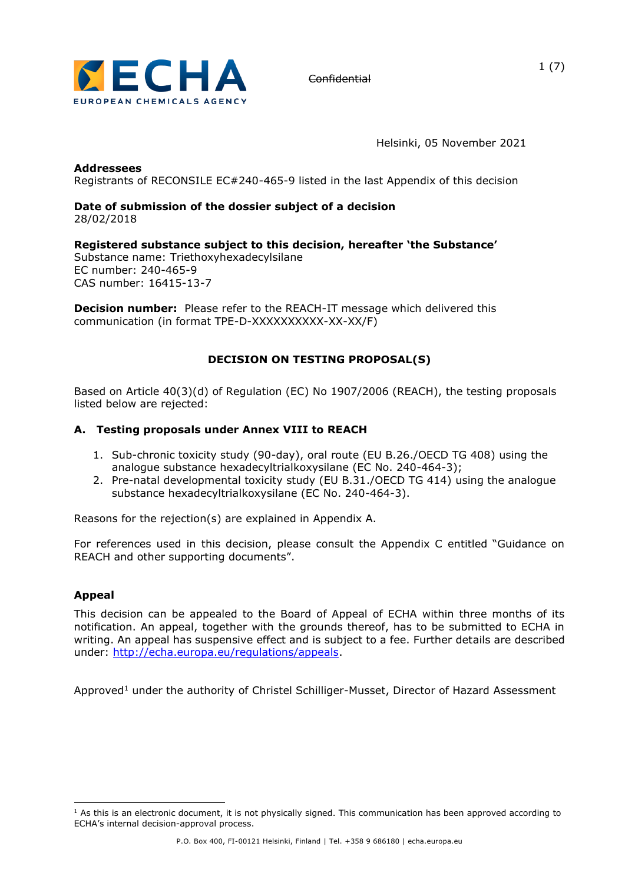

Helsinki, 05 November 2021

### **Addressees**

Registrants of RECONSILE EC#240-465-9 listed in the last Appendix of this decision

### **Date of submission of the dossier subject of a decision**  28/02/2018

# **Registered substance subject to this decision, hereafter 'the Substance'**

Substance name: Triethoxyhexadecylsilane EC number: 240-465-9 CAS number: 16415-13-7

**Decision number:** Please refer to the REACH-IT message which delivered this communication (in format TPE-D-XXXXXXXXXX-XX-XX/F)

# **DECISION ON TESTING PROPOSAL(S)**

Based on Article 40(3)(d) of Regulation (EC) No 1907/2006 (REACH), the testing proposals listed below are rejected:

## **A. Testing proposals under Annex VIII to REACH**

- 1. Sub-chronic toxicity study (90-day), oral route (EU B.26./OECD TG 408) using the analogue substance hexadecyltrialkoxysilane (EC No. 240-464-3);
- 2. Pre-natal developmental toxicity study (EU B.31./OECD TG 414) using the analogue substance hexadecyltrialkoxysilane (EC No. 240-464-3).

Reasons for the rejection(s) are explained in Appendix A.

For references used in this decision, please consult the Appendix C entitled "Guidance on REACH and other supporting documents".

### **Appeal**

This decision can be appealed to the Board of Appeal of ECHA within three months of its notification. An appeal, together with the grounds thereof, has to be submitted to ECHA in writing. An appeal has suspensive effect and is subject to a fee. Further details are described under: [http://echa.europa.eu/regulations/appeals.](http://echa.europa.eu/regulations/appeals)

Approved<sup>1</sup> under the authority of Christel Schilliger-Musset, Director of Hazard Assessment

 $<sup>1</sup>$  As this is an electronic document, it is not physically signed. This communication has been approved according to</sup> ECHA's internal decision-approval process.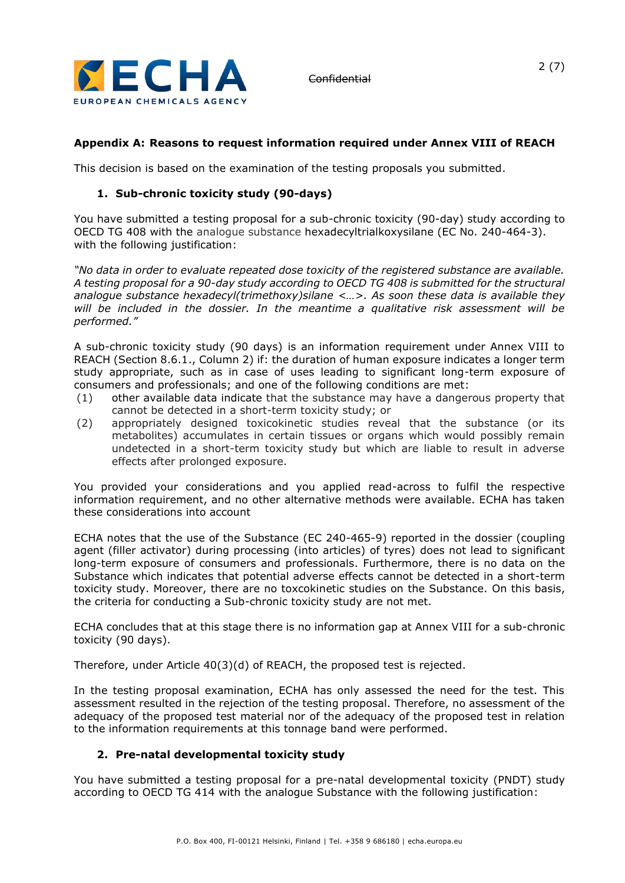

# **Appendix A: Reasons to request information required under Annex VIII of REACH**

This decision is based on the examination of the testing proposals you submitted.

# **1. Sub-chronic toxicity study (90-days)**

You have submitted a testing proposal for a sub-chronic toxicity (90-day) study according to OECD TG 408 with the analogue substance hexadecyltrialkoxysilane (EC No. 240-464-3). with the following justification:

*"No data in order to evaluate repeated dose toxicity of the registered substance are available. A testing proposal for a 90-day study according to OECD TG 408 is submitted for the structural analogue substance hexadecyl(trimethoxy)silane <…>. As soon these data is available they will be included in the dossier. In the meantime a qualitative risk assessment will be performed."*

A sub-chronic toxicity study (90 days) is an information requirement under Annex VIII to REACH (Section 8.6.1., Column 2) if: the duration of human exposure indicates a longer term study appropriate, such as in case of uses leading to significant long-term exposure of consumers and professionals; and one of the following conditions are met:

- (1) other available data indicate that the substance may have a dangerous property that cannot be detected in a short-term toxicity study; or
- (2) appropriately designed toxicokinetic studies reveal that the substance (or its metabolites) accumulates in certain tissues or organs which would possibly remain undetected in a short-term toxicity study but which are liable to result in adverse effects after prolonged exposure.

You provided your considerations and you applied read-across to fulfil the respective information requirement, and no other alternative methods were available. ECHA has taken these considerations into account

ECHA notes that the use of the Substance (EC 240-465-9) reported in the dossier (coupling agent (filler activator) during processing (into articles) of tyres) does not lead to significant long-term exposure of consumers and professionals. Furthermore, there is no data on the Substance which indicates that potential adverse effects cannot be detected in a short-term toxicity study. Moreover, there are no toxcokinetic studies on the Substance. On this basis, the criteria for conducting a Sub-chronic toxicity study are not met.

ECHA concludes that at this stage there is no information gap at Annex VIII for a sub-chronic toxicity (90 days).

Therefore, under Article 40(3)(d) of REACH, the proposed test is rejected.

In the testing proposal examination, ECHA has only assessed the need for the test. This assessment resulted in the rejection of the testing proposal. Therefore, no assessment of the adequacy of the proposed test material nor of the adequacy of the proposed test in relation to the information requirements at this tonnage band were performed.

### **2. Pre-natal developmental toxicity study**

You have submitted a testing proposal for a pre-natal developmental toxicity (PNDT) study according to OECD TG 414 with the analogue Substance with the following justification: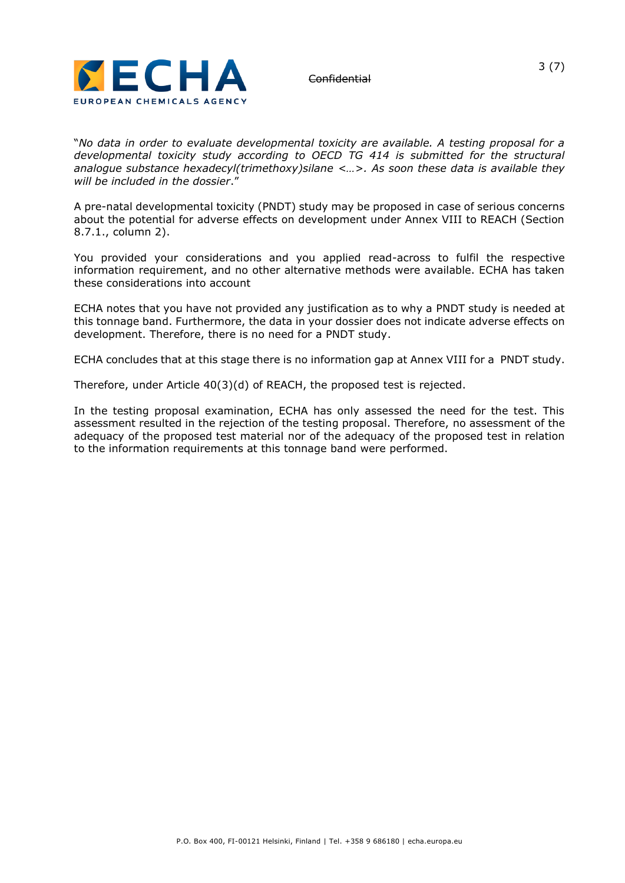

"*No data in order to evaluate developmental toxicity are available. A testing proposal for a developmental toxicity study according to OECD TG 414 is submitted for the structural analogue substance hexadecyl(trimethoxy)silane <…>. As soon these data is available they will be included in the dossier*."

A pre-natal developmental toxicity (PNDT) study may be proposed in case of serious concerns about the potential for adverse effects on development under Annex VIII to REACH (Section 8.7.1., column 2).

You provided your considerations and you applied read-across to fulfil the respective information requirement, and no other alternative methods were available. ECHA has taken these considerations into account

ECHA notes that you have not provided any justification as to why a PNDT study is needed at this tonnage band. Furthermore, the data in your dossier does not indicate adverse effects on development. Therefore, there is no need for a PNDT study.

ECHA concludes that at this stage there is no information gap at Annex VIII for a PNDT study.

Therefore, under Article 40(3)(d) of REACH, the proposed test is rejected.

In the testing proposal examination, ECHA has only assessed the need for the test. This assessment resulted in the rejection of the testing proposal. Therefore, no assessment of the adequacy of the proposed test material nor of the adequacy of the proposed test in relation to the information requirements at this tonnage band were performed.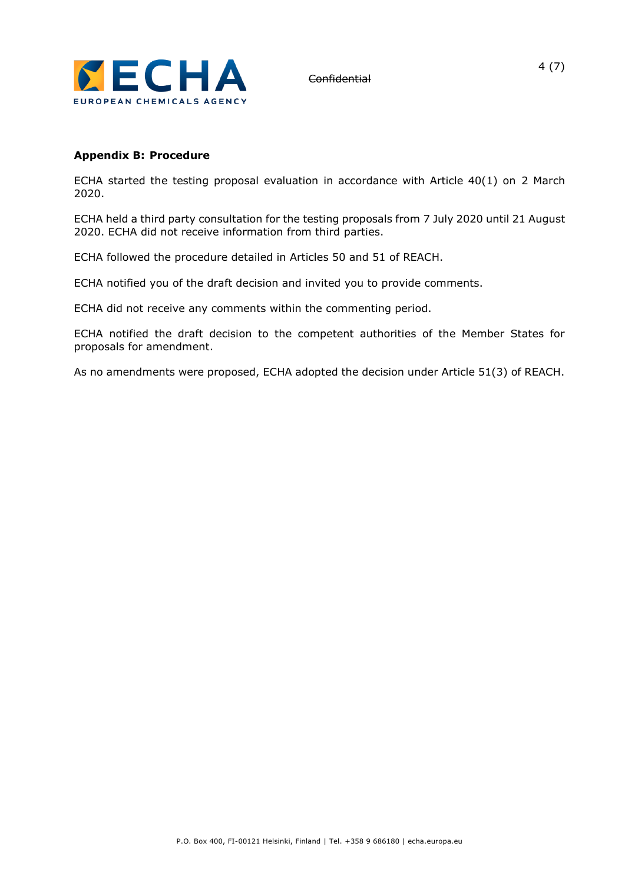

### **Appendix B: Procedure**

ECHA started the testing proposal evaluation in accordance with Article 40(1) on 2 March 2020.

ECHA held a third party consultation for the testing proposals from 7 July 2020 until 21 August 2020. ECHA did not receive information from third parties.

ECHA followed the procedure detailed in Articles 50 and 51 of REACH.

ECHA notified you of the draft decision and invited you to provide comments.

ECHA did not receive any comments within the commenting period.

ECHA notified the draft decision to the competent authorities of the Member States for proposals for amendment.

As no amendments were proposed, ECHA adopted the decision under Article 51(3) of REACH.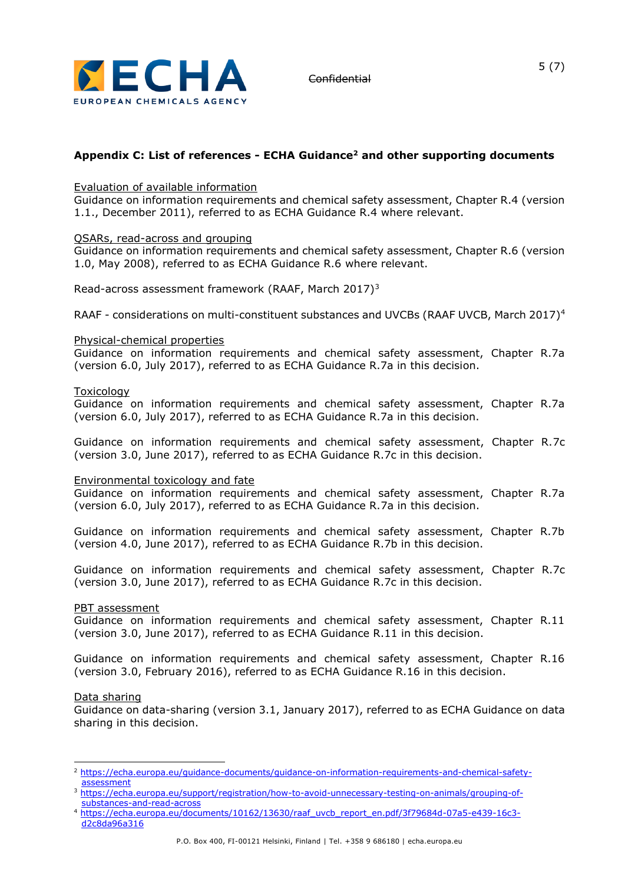

# **Appendix C: List of references - ECHA Guidance<sup>2</sup> and other supporting documents**

### Evaluation of available information

Guidance on information requirements and chemical safety assessment, Chapter R.4 (version 1.1., December 2011), referred to as ECHA Guidance R.4 where relevant.

### QSARs, read-across and grouping

Guidance on information requirements and chemical safety assessment, Chapter R.6 (version 1.0, May 2008), referred to as ECHA Guidance R.6 where relevant.

Read-across assessment framework (RAAF, March 2017)<sup>3</sup>

RAAF - considerations on multi-constituent substances and UVCBs (RAAF UVCB, March 2017)<sup>4</sup>

### Physical-chemical properties

Guidance on information requirements and chemical safety assessment, Chapter R.7a (version 6.0, July 2017), referred to as ECHA Guidance R.7a in this decision.

### Toxicology

Guidance on information requirements and chemical safety assessment, Chapter R.7a (version 6.0, July 2017), referred to as ECHA Guidance R.7a in this decision.

Guidance on information requirements and chemical safety assessment, Chapter R.7c (version 3.0, June 2017), referred to as ECHA Guidance R.7c in this decision.

### Environmental toxicology and fate

Guidance on information requirements and chemical safety assessment, Chapter R.7a (version 6.0, July 2017), referred to as ECHA Guidance R.7a in this decision.

Guidance on information requirements and chemical safety assessment, Chapter R.7b (version 4.0, June 2017), referred to as ECHA Guidance R.7b in this decision.

Guidance on information requirements and chemical safety assessment, Chapter R.7c (version 3.0, June 2017), referred to as ECHA Guidance R.7c in this decision.

### PBT assessment

Guidance on information requirements and chemical safety assessment, Chapter R.11 (version 3.0, June 2017), referred to as ECHA Guidance R.11 in this decision.

Guidance on information requirements and chemical safety assessment, Chapter R.16 (version 3.0, February 2016), referred to as ECHA Guidance R.16 in this decision.

### Data sharing

Guidance on data-sharing (version 3.1, January 2017), referred to as ECHA Guidance on data sharing in this decision.

<sup>2</sup> [https://echa.europa.eu/guidance-documents/guidance-on-information-requirements-and-chemical-safety](https://echa.europa.eu/guidance-documents/guidance-on-information-requirements-and-chemical-safety-assessment)[assessment](https://echa.europa.eu/guidance-documents/guidance-on-information-requirements-and-chemical-safety-assessment)

<sup>3</sup> [https://echa.europa.eu/support/registration/how-to-avoid-unnecessary-testing-on-animals/grouping-of](https://echa.europa.eu/support/registration/how-to-avoid-unnecessary-testing-on-animals/grouping-of-substances-and-read-across)[substances-and-read-across](https://echa.europa.eu/support/registration/how-to-avoid-unnecessary-testing-on-animals/grouping-of-substances-and-read-across)

<sup>4</sup> [https://echa.europa.eu/documents/10162/13630/raaf\\_uvcb\\_report\\_en.pdf/3f79684d-07a5-e439-16c3](https://echa.europa.eu/documents/10162/13630/raaf_uvcb_report_en.pdf/3f79684d-07a5-e439-16c3-d2c8da96a316) [d2c8da96a316](https://echa.europa.eu/documents/10162/13630/raaf_uvcb_report_en.pdf/3f79684d-07a5-e439-16c3-d2c8da96a316)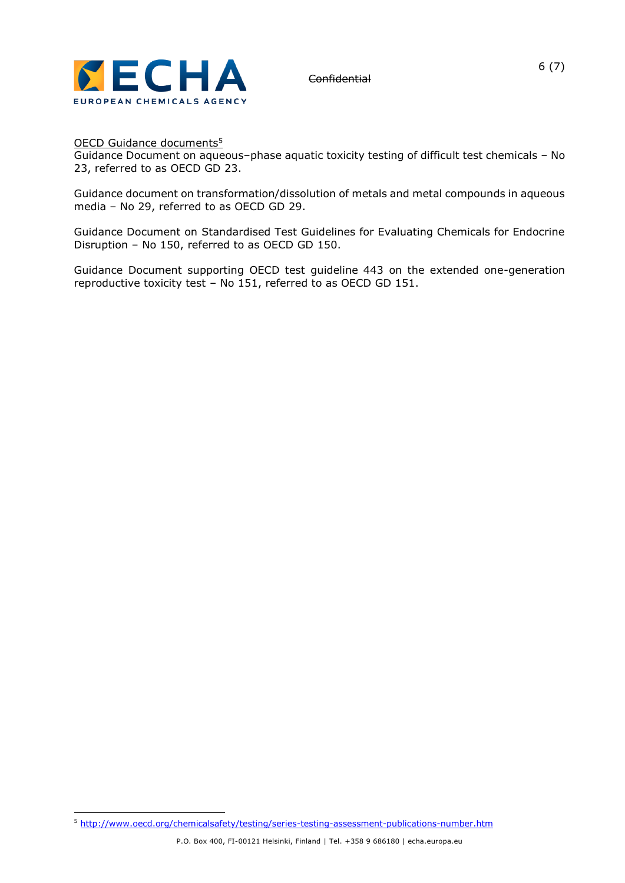

OECD Guidance documents<sup>5</sup>

Guidance Document on aqueous–phase aquatic toxicity testing of difficult test chemicals – No 23, referred to as OECD GD 23.

Guidance document on transformation/dissolution of metals and metal compounds in aqueous media – No 29, referred to as OECD GD 29.

Guidance Document on Standardised Test Guidelines for Evaluating Chemicals for Endocrine Disruption – No 150, referred to as OECD GD 150.

Guidance Document supporting OECD test guideline 443 on the extended one-generation reproductive toxicity test – No 151, referred to as OECD GD 151.

<sup>5</sup> <http://www.oecd.org/chemicalsafety/testing/series-testing-assessment-publications-number.htm>